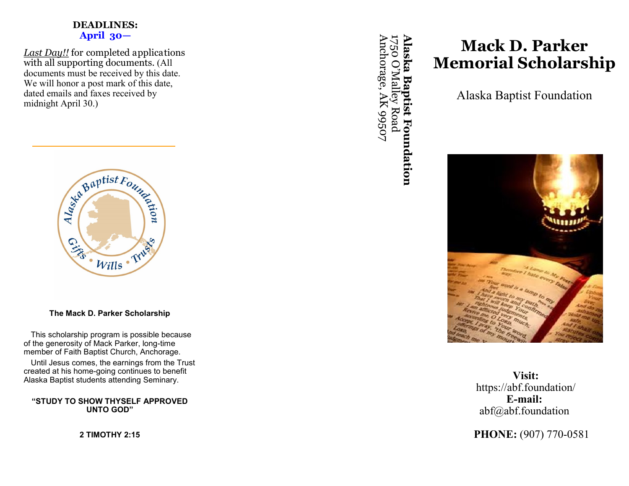### **DEADLINES: April 30—**

*Last Day!!* for completed applications with all supporting documents. (All documents must be received by this date. We will honor a post mark of this date, dated emails and faxes received by midnight April 30.)



**The Mack D. Parker Scholarship**

This scholarship program is possible because of the generosity of Mack Parker, long-time member of Faith Baptist Church, Anchorage.

Until Jesus comes, the earnings from the Trust created at his home-going continues to benefit Alaska Baptist students attending Seminary.

**"STUDY TO SHOW THYSELF APPROVED UNTO GOD"**

**2 TIMOTHY 2:15**

**Alaska Baptist Foundation** Anchorage, AK 99507 Anchorage, AK 99507 1750 O '**Alaska Baptist Foundation** Malley Road

# **Mack D. Parker Memorial Scholarship**

Alaska Baptist Foundation



**Visit:** https://abf.foundation/ **E-mail:** abf@abf.foundation

**PHONE:** (907) 770-0581